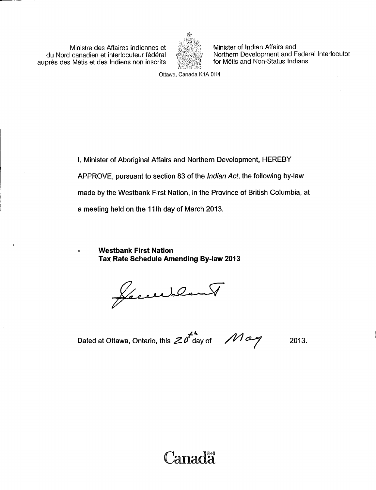Ministre des Affaires indiennes et du Nord canadien et interlocuteur federal aupres des Metis et des Indiens non inscrits



Minister of Indian Affairs and Northern Development and Federal Interlocutor for Métis and Non-Status Indians

Ottawa, Canada K1A OH4

I, Minister of Aboriginal Affairs and Northern Development, HEREBY APPROVE, pursuant to section 83 of the Indian Act, the following by -law made by the Westbank First Nation, in the Province of British Columbia, at a meeting held on the 11th day of March 2013.

Westbank First Nation Tax Rate Schedule Amending By -law 2013

Jement

Dated at Ottawa, Ontario, this  $\mathcal{Z}^{\mu}$  day of  $\mathcal{M}$  and  $\mathcal{M}$  2013.

# Canadă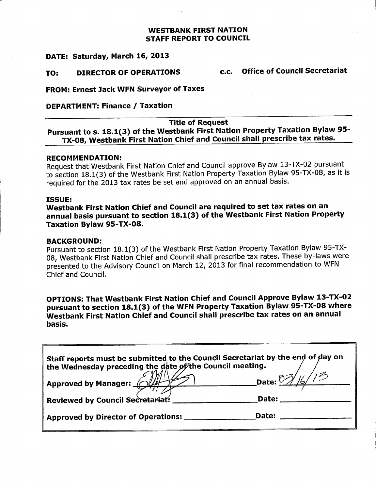### WESTBANK FIRST NATION STAFF REPORT TO COUNCIL

### DATE: Saturday, March 16, 2013

### TO: DIRECTOR OF OPERATIONS c.c. Office of Council Secretariat

FROM: Ernest Jack WFN Surveyor of Taxes

### DEPARTMENT: Finance / Taxation

### Title of Request

Pursuant to s. 18.1(3) of the Westbank First Nation Property Taxation Bylaw 95-TX-08, Westbank First Nation Chief and Council shall prescribe tax rates.

### RECOMMENDATION:

Request that Westbank First Nation Chief and Council approve Bylaw 13-TX-02 pursuant to section 18.1(3) of the Westbank First Nation Property Taxation Bylaw 95-TX-08, as it is required for the 2013 tax rates be set and approved on an annual basis.

### ISSUE:

Westbank First Nation Chief and Council are required to set tax rates on an annual basis pursuant to section 18.1(3) of the Westbank First Nation Property Taxation Bylaw 95-TX-08.

### BACKGROUND:

Pursuant to section 18.1(3) of the Westbank First Nation Property Taxation Bylaw 95-TX-08, Westbank First Nation Chief and Council shall prescribe tax rates. These by -laws were presented to the Advisory Council on March 12, 2013 for final recommendation to WFN Chief and Council.

OPTIONS: That Westbank First Nation Chief and Council Approve Bylaw 13 -TX -02 pursuant to section 18.1(3) of the WFN Property Taxation Bylaw 95-TX-08 where Westbank First Nation Chief and Council shall prescribe tax rates on an annual basis.

| Staff reports must be submitted to the Council Secretariat by the end of day on<br>the Wednesday preceding the date of the Council meeting. |                       |  |
|---------------------------------------------------------------------------------------------------------------------------------------------|-----------------------|--|
| <b>Approved by Manager: _</b>                                                                                                               | Date: $\frac{10}{16}$ |  |
| <b>Reviewed by Council Secretariat:</b>                                                                                                     | Date:                 |  |
| <b>Approved by Director of Operations:</b>                                                                                                  | Date:                 |  |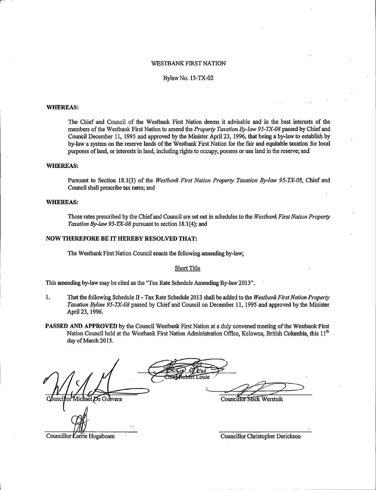#### WESTBANK FIRST NATION

#### Bylaw No. 13 -TX -02

#### WHEREAS:

The Chief and Council of the Westbank First Nation deems it advisable and in the best interests of the members of the Westbank First Nation to amend the Property Taxation By-law 95-TX-08 passed by Chief and Council December 11, 1995 and approved by the Minister April 23, 1996, that being <sup>a</sup> by -law to establish by by -law <sup>a</sup> system on the reserve lands of the Westbank First Nation for the fair and equitable taxation for local purposes of land, or interests in land, including rights to occupy, possess or use land in the reserve; and

### WHEREAS:

Pursuant to Section 18.1(3) of the Westbank First Nation Property Taxation By-law 95-TX-08, Chief and Council shall prescribe tax rates; and

#### WHEREAS:

Those rates prescribed by the Chief and Council are set out in schedules to the Westbank First Nation Property Taxation By-law 95-TX-08 pursuant to section 18.1(4); and

#### NOW THEREFORE BE IT HEREBY RESOLVED THAT:

The Westbank First Nation Council enacts the following amending by -law;

#### Short Title

This amending by-law may be cited as the "Tax Rate Schedule Amending By-law 2013".

- 1. That the following Schedule II Tax Rate Schedule 2013 shall be added to the Westbank First Nation Property Taxation Bylaw 95-TX-08 passed by Chief and Council on December 11, 1995 and approved by the Minister April 23, 1996.
- PASSED AND APPROVED by the Council Westbank First Nation at a duly convened meeting of the Westbank First Nation Council held at the Westbank First Nation Administration Office, Kelowna, British Columbia, this 11<sup>th</sup> day of March 2013.

De Gudvara

Councillor Mick Werstuik

Councillor Lorrie Hogaboam

Councillor Christopher Derickson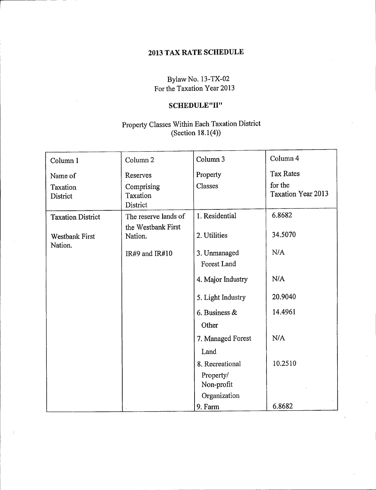### 2013 TAX RATE SCHEDULE

Bylaw No. 13-TX-02 For the Taxation Year 2013

## SCHEDULE"II"

### Property Classes Within Each Taxation District  $(Section 18.1(4))$

| Column 1                         | Column <sub>2</sub>                | Column 3                    | Column 4                             |
|----------------------------------|------------------------------------|-----------------------------|--------------------------------------|
| Name of                          | Reserves                           | Property                    | <b>Tax Rates</b>                     |
| Taxation<br>District             | Comprising<br>Taxation<br>District | Classes                     | for the<br><b>Taxation Year 2013</b> |
| <b>Taxation District</b>         | The reserve lands of               | 1. Residential              | 6.8682                               |
| <b>Westbank First</b><br>Nation. | the Westbank First<br>Nation.      | 2. Utilities                | 34.5070                              |
|                                  | IR#9 and IR#10                     | 3. Unmanaged<br>Forest Land | N/A                                  |
|                                  |                                    | 4. Major Industry           | N/A                                  |
|                                  |                                    | 5. Light Industry           | 20.9040                              |
|                                  |                                    | 6. Business $\&$            | 14.4961                              |
|                                  |                                    | Other                       |                                      |
|                                  |                                    | 7. Managed Forest           | N/A                                  |
|                                  |                                    | Land                        |                                      |
|                                  |                                    | 8. Recreational             | 10.2510                              |
|                                  |                                    | Property/<br>Non-profit     |                                      |
|                                  |                                    | Organization                |                                      |
|                                  |                                    | 9. Farm                     | 6.8682                               |